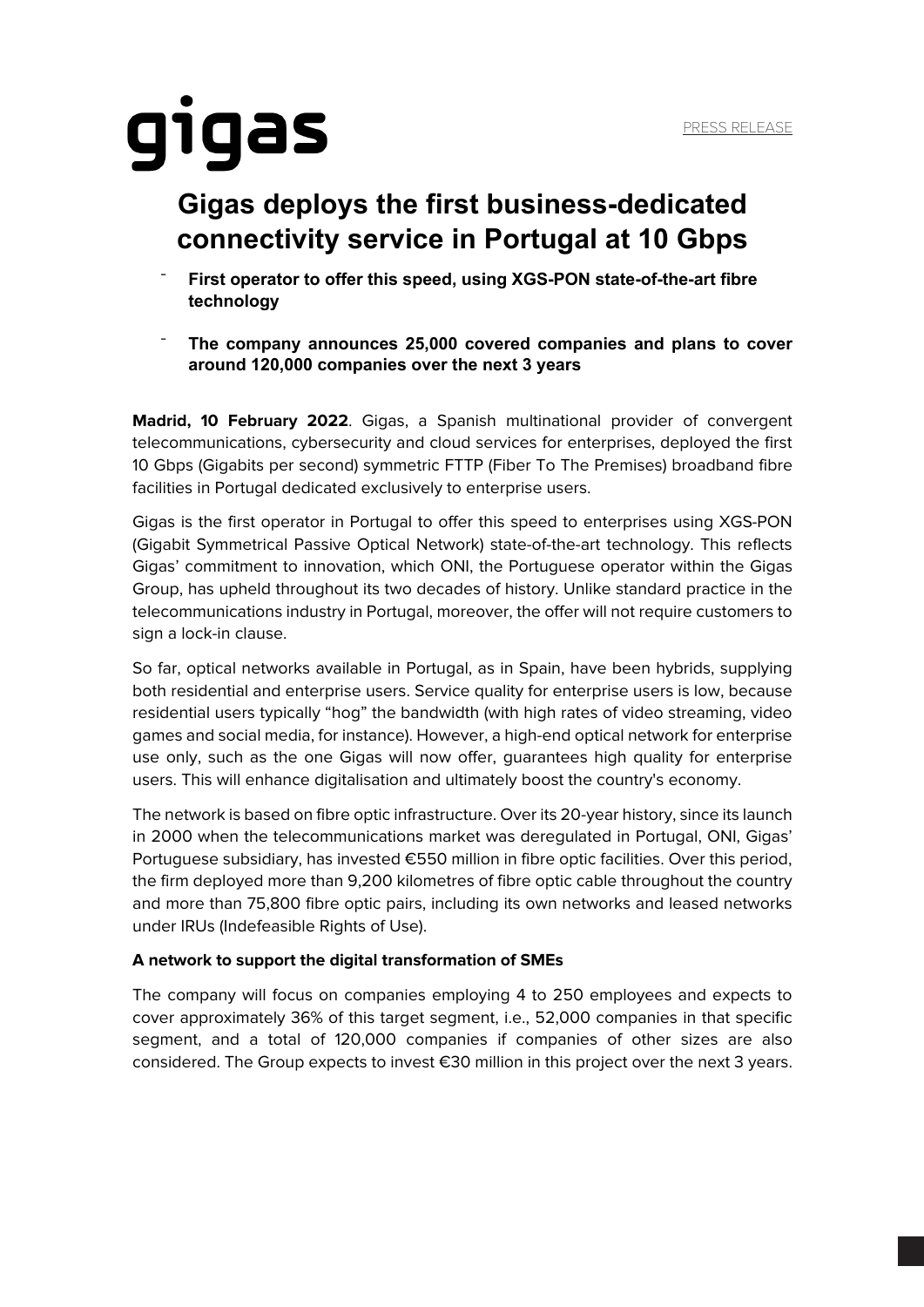# gigas

### **Gigas deploys the first business-dedicated connectivity service in Portugal at 10 Gbps**

- ¯ **First operator to offer this speed, using XGS-PON state-of-the-art fibre technology**
- ¯ **The company announces 25,000 covered companies and plans to cover around 120,000 companies over the next 3 years**

**Madrid, 10 February 2022**. Gigas, a Spanish multinational provider of convergent telecommunications, cybersecurity and cloud services for enterprises, deployed the first 10 Gbps (Gigabits per second) symmetric FTTP (Fiber To The Premises) broadband fibre facilities in Portugal dedicated exclusively to enterprise users.

Gigas is the first operator in Portugal to offer this speed to enterprises using XGS-PON (Gigabit Symmetrical Passive Optical Network) state-of-the-art technology. This reflects Gigas' commitment to innovation, which ONI, the Portuguese operator within the Gigas Group, has upheld throughout its two decades of history. Unlike standard practice in the telecommunications industry in Portugal, moreover, the offer will not require customers to sign a lock-in clause.

So far, optical networks available in Portugal, as in Spain, have been hybrids, supplying both residential and enterprise users. Service quality for enterprise users is low, because residential users typically "hog" the bandwidth (with high rates of video streaming, video games and social media, for instance). However, a high-end optical network for enterprise use only, such as the one Gigas will now offer, guarantees high quality for enterprise users. This will enhance digitalisation and ultimately boost the country's economy.

The network is based on fibre optic infrastructure. Over its 20-year history, since its launch in 2000 when the telecommunications market was deregulated in Portugal, ONI, Gigas' Portuguese subsidiary, has invested €550 million in fibre optic facilities. Over this period, the firm deployed more than 9,200 kilometres of fibre optic cable throughout the country and more than 75,800 fibre optic pairs, including its own networks and leased networks under IRUs (Indefeasible Rights of Use).

### **A network to support the digital transformation of SMEs**

The company will focus on companies employing 4 to 250 employees and expects to cover approximately 36% of this target segment, i.e., 52,000 companies in that specific segment, and a total of 120,000 companies if companies of other sizes are also considered. The Group expects to invest €30 million in this project over the next 3 years.